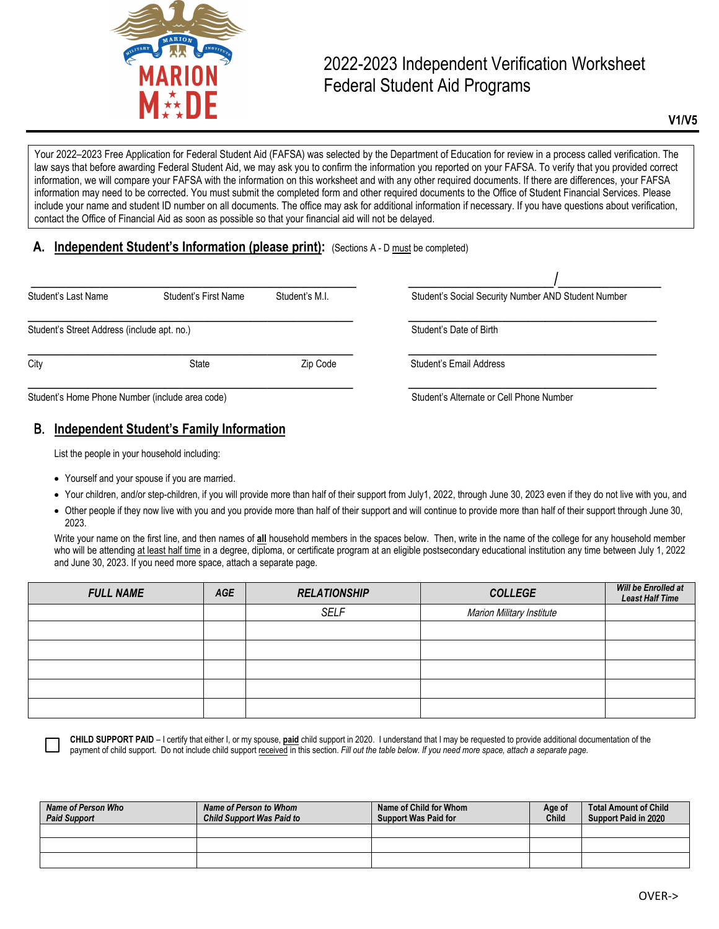

# 2022-2023 Independent Verification Worksheet Federal Student Aid Programs

**V1/V5**

Your 2022–2023 Free Application for Federal Student Aid (FAFSA) was selected by the Department of Education for review in a process called verification. The law says that before awarding Federal Student Aid, we may ask you to confirm the information you reported on your FAFSA. To verify that you provided correct information, we will compare your FAFSA with the information on this worksheet and with any other required documents. If there are differences, your FAFSA information may need to be corrected. You must submit the completed form and other required documents to the Office of Student Financial Services. Please include your name and student ID number on all documents. The office may ask for additional information if necessary. If you have questions about verification, contact the Office of Financial Aid as soon as possible so that your financial aid will not be delayed.

#### **A. Independent Student's Information (please print):** (Sections A - D must be completed)

| Student's Last Name                             | Student's First Name | Student's M.I. | Student's Social Security Number AND Student Number |
|-------------------------------------------------|----------------------|----------------|-----------------------------------------------------|
| Student's Street Address (include apt. no.)     |                      |                | Student's Date of Birth                             |
| City                                            | State                | Zip Code       | Student's Email Address                             |
| Student's Home Phone Number (include area code) |                      |                | Student's Alternate or Cell Phone Number            |

## B. **Independent Student's Family Information**

List the people in your household including:

- Yourself and your spouse if you are married.
- Your children, and/or step-children, if you will provide more than half of their support from July1, 2022, through June 30, 2023 even if they do not live with you, and
- Other people if they now live with you and you provide more than half of their support and will continue to provide more than half of their support through June 30, 2023.

Write your name on the first line, and then names of **all** household members in the spaces below. Then, write in the name of the college for any household member who will be attending at least half time in a degree, diploma, or certificate program at an eligible postsecondary educational institution any time between July 1, 2022 and June 30, 2023. If you need more space, attach a separate page.

| <b>FULL NAME</b> | AGE | <b>RELATIONSHIP</b> | <b>COLLEGE</b>            | Will be Enrolled at<br><b>Least Half Time</b> |  |
|------------------|-----|---------------------|---------------------------|-----------------------------------------------|--|
|                  |     | <b>SELF</b>         | Marion Military Institute |                                               |  |
|                  |     |                     |                           |                                               |  |
|                  |     |                     |                           |                                               |  |
|                  |     |                     |                           |                                               |  |
|                  |     |                     |                           |                                               |  |
|                  |     |                     |                           |                                               |  |

**CHILD SUPPORT PAID** – I certify that either I, or my spouse, **paid** child support in 2020. I understand that I may be requested to provide additional documentation of the payment of child support. Do not include child support received in this section. *Fill out the table below. If you need more space, attach a separate page.*

| Name of Person Who<br><b>Paid Support</b> | Name of Person to Whom<br><b>Child Support Was Paid to</b> | Name of Child for Whom<br><b>Support Was Paid for</b> | Age of<br><b>Child</b> | Total Amount of Child<br>Support Paid in 2020 |
|-------------------------------------------|------------------------------------------------------------|-------------------------------------------------------|------------------------|-----------------------------------------------|
|                                           |                                                            |                                                       |                        |                                               |
|                                           |                                                            |                                                       |                        |                                               |
|                                           |                                                            |                                                       |                        |                                               |